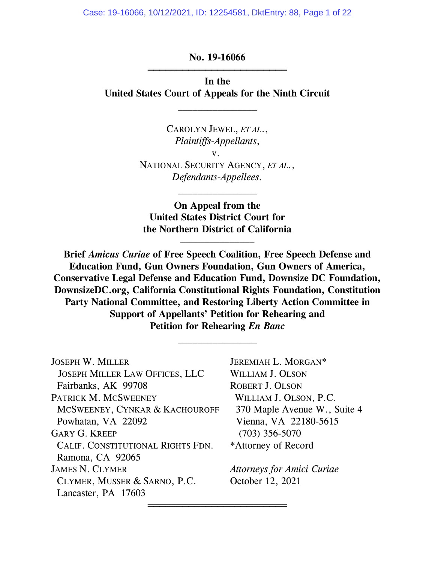Case: 19-16066, 10/12/2021, ID: 12254581, DktEntry: 88, Page 1 of 22

**No. 19-16066** ═══════════════════════════════════

**In the United States Court of Appeals for the Ninth Circuit**

 $\frac{1}{2}$ 

CAROLYN JEWEL, *ET AL*., *Plaintiffs-Appellants*, v. NATIONAL SECURITY AGENCY, *ET AL.*, *Defendants-Appellees.*

**On Appeal from the United States District Court for the Northern District of California**  $\frac{1}{2}$ 

 $\frac{1}{2}$ 

**Brief** *Amicus Curiae* **of Free Speech Coalition, Free Speech Defense and Education Fund, Gun Owners Foundation, Gun Owners of America, Conservative Legal Defense and Education Fund, Downsize DC Foundation, DownsizeDC.org, California Constitutional Rights Foundation, Constitution Party National Committee, and Restoring Liberty Action Committee in Support of Appellants' Petition for Rehearing and Petition for Rehearing** *En Banc*

 $\frac{1}{2}$ 

═══════════════════════════════════

JOSEPH W. MILLER JEREMIAH L. MORGAN\* JOSEPH MILLER LAW OFFICES, LLC WILLIAM J. OLSON Fairbanks, AK 99708 ROBERT J. OLSON PATRICK M. MCSWEENEY WILLIAM J. OLSON, P.C. **MCSWEENEY, CYNKAR & KACHOUROFF** 370 Maple Avenue W., Suite 4 Powhatan, VA 22092 Vienna, VA 22180-5615 GARY G. KREEP (703) 356-5070 CALIF. CONSTITUTIONAL RIGHTS FDN. \*Attorney of Record Ramona, CA 92065 JAMES N. CLYMER *Attorneys for Amici Curiae* CLYMER, MUSSER & SARNO, P.C. October 12, 2021 Lancaster, PA 17603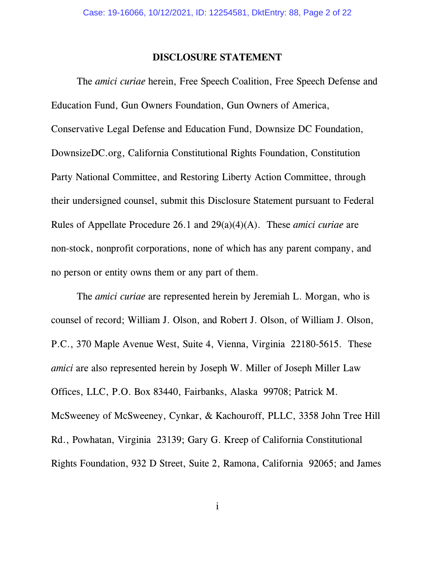#### **DISCLOSURE STATEMENT**

The *amici curiae* herein, Free Speech Coalition, Free Speech Defense and Education Fund, Gun Owners Foundation, Gun Owners of America, Conservative Legal Defense and Education Fund, Downsize DC Foundation, DownsizeDC.org, California Constitutional Rights Foundation, Constitution Party National Committee, and Restoring Liberty Action Committee, through their undersigned counsel, submit this Disclosure Statement pursuant to Federal Rules of Appellate Procedure 26.1 and 29(a)(4)(A). These *amici curiae* are non-stock, nonprofit corporations, none of which has any parent company, and no person or entity owns them or any part of them.

The *amici curiae* are represented herein by Jeremiah L. Morgan, who is counsel of record; William J. Olson, and Robert J. Olson, of William J. Olson, P.C., 370 Maple Avenue West, Suite 4, Vienna, Virginia 22180-5615. These *amici* are also represented herein by Joseph W. Miller of Joseph Miller Law Offices, LLC, P.O. Box 83440, Fairbanks, Alaska 99708; Patrick M. McSweeney of McSweeney, Cynkar, & Kachouroff, PLLC, 3358 John Tree Hill Rd., Powhatan, Virginia 23139; Gary G. Kreep of California Constitutional Rights Foundation, 932 D Street, Suite 2, Ramona, California 92065; and James

i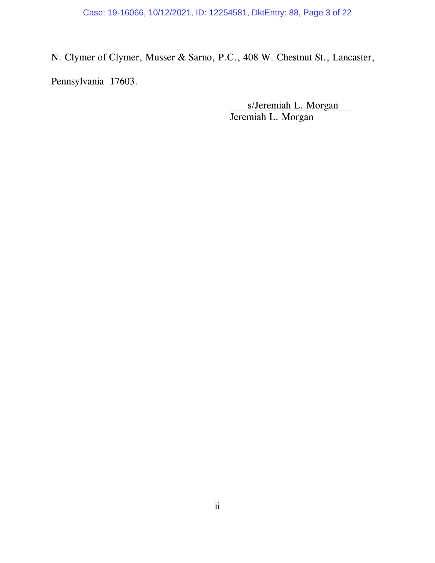Case: 19-16066, 10/12/2021, ID: 12254581, DktEntry: 88, Page 3 of 22

N. Clymer of Clymer, Musser & Sarno, P.C., 408 W. Chestnut St., Lancaster, Pennsylvania 17603.

> s/Jeremiah L. Morgan Jeremiah L. Morgan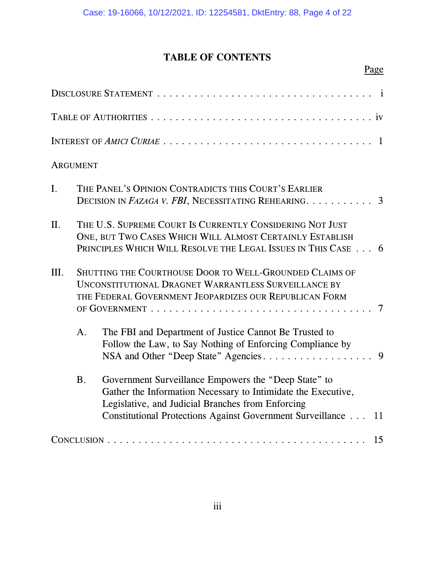# **TABLE OF CONTENTS**

# Page

|                | <b>ARGUMENT</b> |                                                                                                                                                                                                                                                |  |
|----------------|-----------------|------------------------------------------------------------------------------------------------------------------------------------------------------------------------------------------------------------------------------------------------|--|
| $\mathbf{I}$ . |                 | THE PANEL'S OPINION CONTRADICTS THIS COURT'S EARLIER<br>DECISION IN FAZAGA V. FBI, NECESSITATING REHEARING. 3                                                                                                                                  |  |
| II.            |                 | THE U.S. SUPREME COURT IS CURRENTLY CONSIDERING NOT JUST<br>ONE, BUT TWO CASES WHICH WILL ALMOST CERTAINLY ESTABLISH<br>PRINCIPLES WHICH WILL RESOLVE THE LEGAL ISSUES IN THIS CASE 6                                                          |  |
| III.           |                 | SHUTTING THE COURTHOUSE DOOR TO WELL-GROUNDED CLAIMS OF<br>UNCONSTITUTIONAL DRAGNET WARRANTLESS SURVEILLANCE BY<br>THE FEDERAL GOVERNMENT JEOPARDIZES OUR REPUBLICAN FORM<br>$7\phantom{.0}$                                                   |  |
|                | A <sub>1</sub>  | The FBI and Department of Justice Cannot Be Trusted to<br>Follow the Law, to Say Nothing of Enforcing Compliance by                                                                                                                            |  |
|                | B <sub>1</sub>  | Government Surveillance Empowers the "Deep State" to<br>Gather the Information Necessary to Intimidate the Executive,<br>Legislative, and Judicial Branches from Enforcing<br>Constitutional Protections Against Government Surveillance<br>11 |  |
|                |                 | 15                                                                                                                                                                                                                                             |  |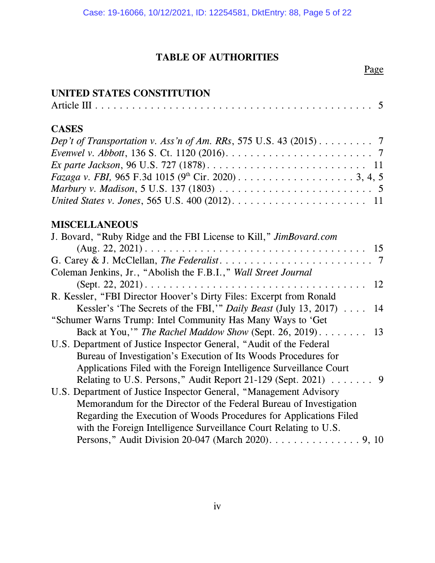# **TABLE OF AUTHORITIES**

#### Page

### **UNITED STATES CONSTITUTION**

| <b>CASES</b>                                                                                                        |
|---------------------------------------------------------------------------------------------------------------------|
| Dep't of Transportation v. Ass'n of Am. RRs, 575 U.S. 43 (2015) 7                                                   |
| <i>Evenwel v. Abbott</i> , 136 S. Ct. 1120 (2016). $\ldots \ldots \ldots \ldots \ldots \ldots \ldots \ldots \ldots$ |
|                                                                                                                     |
|                                                                                                                     |
|                                                                                                                     |
|                                                                                                                     |
| <b>MISCELLANEOUS</b>                                                                                                |
| J. Bovard, "Ruby Ridge and the FBI License to Kill," <i>JimBovard.com</i>                                           |
|                                                                                                                     |
|                                                                                                                     |
| Coleman Jenkins, Jr., "Abolish the F.B.I.," Wall Street Journal                                                     |
| 12                                                                                                                  |
| R. Kessler, "FBI Director Hoover's Dirty Files: Excerpt from Ronald                                                 |
| Kessler's 'The Secrets of the FBI,'" Daily Beast (July 13, 2017)<br>14                                              |
| "Schumer Warns Trump: Intel Community Has Many Ways to 'Get                                                         |
| Back at You," The Rachel Maddow Show (Sept. 26, 2019).<br>13                                                        |
| U.S. Department of Justice Inspector General, "Audit of the Federal                                                 |
| Bureau of Investigation's Execution of Its Woods Procedures for                                                     |
| Applications Filed with the Foreign Intelligence Surveillance Court                                                 |
| Relating to U.S. Persons," Audit Report 21-129 (Sept. 2021) $\ldots \ldots$ .                                       |
| U.S. Department of Justice Inspector General, "Management Advisory                                                  |
| Memorandum for the Director of the Federal Bureau of Investigation                                                  |
| Regarding the Execution of Woods Procedures for Applications Filed                                                  |
| with the Foreign Intelligence Surveillance Court Relating to U.S.                                                   |
| Persons," Audit Division 20-047 (March 2020). 9, 10                                                                 |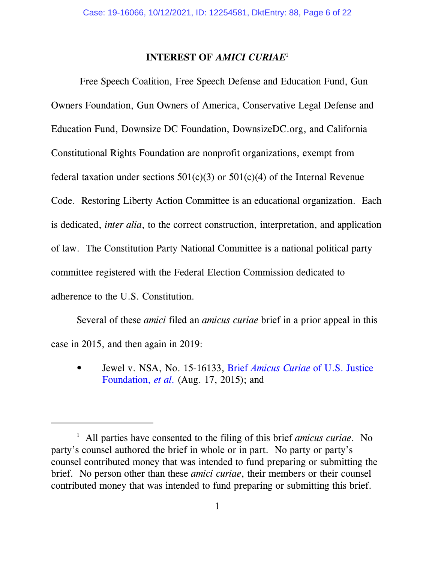#### **INTEREST OF** *AMICI CURIAE*<sup>1</sup>

 Free Speech Coalition, Free Speech Defense and Education Fund, Gun Owners Foundation, Gun Owners of America, Conservative Legal Defense and Education Fund, Downsize DC Foundation, DownsizeDC.org, and California Constitutional Rights Foundation are nonprofit organizations, exempt from federal taxation under sections  $501(c)(3)$  or  $501(c)(4)$  of the Internal Revenue Code. Restoring Liberty Action Committee is an educational organization. Each is dedicated, *inter alia*, to the correct construction, interpretation, and application of law. The Constitution Party National Committee is a national political party committee registered with the Federal Election Commission dedicated to adherence to the U.S. Constitution.

Several of these *amici* filed an *amicus curiae* brief in a prior appeal in this case in 2015, and then again in 2019:

• Jewel v. NSA, No. 15-16133, Brief *Amicus Curiae* [of U.S. Justice](http://www.lawandfreedom.com/site/constitutional/Jewel%20USJF%20amicus%20brief.pdf) [Foundation,](http://www.lawandfreedom.com/site/constitutional/Jewel%20USJF%20amicus%20brief.pdf) *et al.* (Aug. 17, 2015); and

<sup>&</sup>lt;sup>1</sup> All parties have consented to the filing of this brief *amicus curiae*. No party's counsel authored the brief in whole or in part. No party or party's counsel contributed money that was intended to fund preparing or submitting the brief. No person other than these *amici curiae*, their members or their counsel contributed money that was intended to fund preparing or submitting this brief.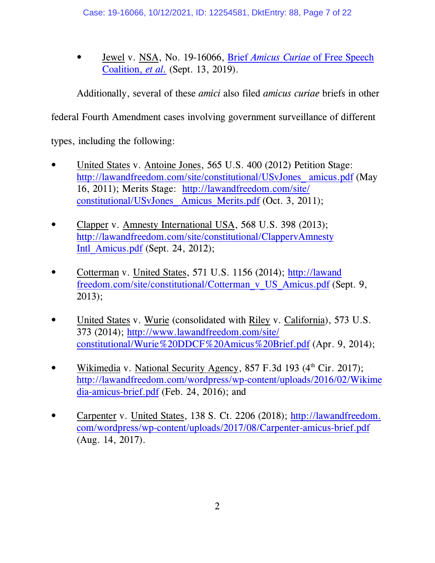• Jewel v. NSA, No. 19-16066, Brief *Amicus Curiae* [of Free Speech](http://lawandfreedom.com/wordpress/wp-content/uploads/2019/09/Jewel-Amicus-Brief-2019.pdf) [Coalition,](http://lawandfreedom.com/wordpress/wp-content/uploads/2019/09/Jewel-Amicus-Brief-2019.pdf) *et al.* (Sept. 13, 2019).

Additionally, several of these *amici* also filed *amicus curiae* briefs in other

federal Fourth Amendment cases involving government surveillance of different

types, including the following:

- United States v. Antoine Jones, 565 U.S. 400 (2012) Petition Stage: [http://lawandfreedom.com/site/constitutional/USvJones\\_ amicus.pdf](http://lawandfreedom.com/site/constitutional/USvJones_amicus.pdf) (May 16, 2011); Merits Stage: [http://lawandfreedom.com/site/](http://lawandfreedom.com/site/constitutional/USvJones_Amicus_Merits.pdf) [constitutional/USvJones\\_ Amicus\\_Merits.pdf](http://lawandfreedom.com/site/constitutional/USvJones_Amicus_Merits.pdf) (Oct. 3, 2011);
- Clapper v. Amnesty International USA, 568 U.S. 398 (2013); [http://lawandfreedom.com/site/constitutional/ClappervAmnesty](http://lawandfreedom.com/site/constitutional/ClappervAmnestyIntl_Amicus.pdf) [Intl\\_Amicus.pdf](http://lawandfreedom.com/site/constitutional/ClappervAmnestyIntl_Amicus.pdf) (Sept. 24, 2012);
- Cotterman v. United States, 571 U.S. 1156 (2014); [http://lawand](http://lawandfreedom.com/site/constitutional/Cotterman_v_US_Amicus.pdf) [freedom.com/site/constitutional/Cotterman\\_v\\_US\\_Amicus.pdf](http://lawandfreedom.com/site/constitutional/Cotterman_v_US_Amicus.pdf) (Sept. 9, 2013);
- United States v. Wurie (consolidated with Riley v. California), 573 U.S. 373 (2014); [http://www.lawandfreedom.com/site/](http://www.lawandfreedom.com/site/constitutional/Wurie%20DDCF%20Amicus%20Brief.pdf) [constitutional/Wurie%20DDCF%20Amicus%20Brief.pdf](http://www.lawandfreedom.com/site/constitutional/Wurie%20DDCF%20Amicus%20Brief.pdf) (Apr. 9, 2014);
- Wikimedia v. National Security Agency, 857 F.3d 193 (4<sup>th</sup> Cir. 2017); [http://lawandfreedom.com/wordpress/wp-content/uploads/2016/02/Wikime](http://lawandfreedom.com/wordpress/wp-content/uploads/2016/02/Wikimedia-amicus-brief.pdf) [dia-amicus-brief.pdf](http://lawandfreedom.com/wordpress/wp-content/uploads/2016/02/Wikimedia-amicus-brief.pdf) (Feb. 24, 2016); and
- Carpenter v. United States, 138 S. Ct. 2206 (2018); [http://lawandfreedom.](http://lawandfreedom.com/wordpress/wp-content/uploads/2017/08/Carpenter-amicus-brief.pdf) [com/wordpress/wp-content/uploads/2017/08/Carpenter-amicus-brief.pdf](http://lawandfreedom.com/wordpress/wp-content/uploads/2017/08/Carpenter-amicus-brief.pdf) (Aug. 14, 2017).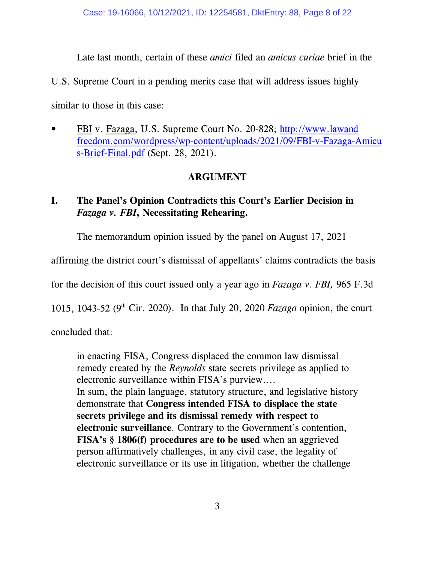Late last month, certain of these *amici* filed an *amicus curiae* brief in the

U.S. Supreme Court in a pending merits case that will address issues highly

similar to those in this case:

• FBI v. Fazaga, U.S. Supreme Court No. 20-828; [http://www.lawand](http://www.lawandfreedom.com/wordpress/wp-content/uploads/2021/09/FBI-v-Fazaga-Amicus-Brief-Final.pdf) [freedom.com/wordpress/wp-content/uploads/2021/09/FBI-v-Fazaga-Amicu](http://www.lawandfreedom.com/wordpress/wp-content/uploads/2021/09/FBI-v-Fazaga-Amicus-Brief-Final.pdf) [s-Brief-Final.pdf](http://www.lawandfreedom.com/wordpress/wp-content/uploads/2021/09/FBI-v-Fazaga-Amicus-Brief-Final.pdf) (Sept. 28, 2021).

# **ARGUMENT**

# **I. The Panel's Opinion Contradicts this Court's Earlier Decision in** *Fazaga v. FBI***, Necessitating Rehearing.**

The memorandum opinion issued by the panel on August 17, 2021

affirming the district court's dismissal of appellants' claims contradicts the basis

for the decision of this court issued only a year ago in *Fazaga v. FBI,* 965 F.3d

1015, 1043-52 (9<sup>th</sup> Cir. 2020). In that July 20, 2020 *Fazaga* opinion, the court

concluded that:

in enacting FISA, Congress displaced the common law dismissal remedy created by the *Reynolds* state secrets privilege as applied to electronic surveillance within FISA's purview.... In sum, the plain language, statutory structure, and legislative history demonstrate that **Congress intended FISA to displace the state secrets privilege and its dismissal remedy with respect to electronic surveillance**. Contrary to the Government's contention, **FISA's § 1806(f) procedures are to be used** when an aggrieved person affirmatively challenges, in any civil case, the legality of electronic surveillance or its use in litigation, whether the challenge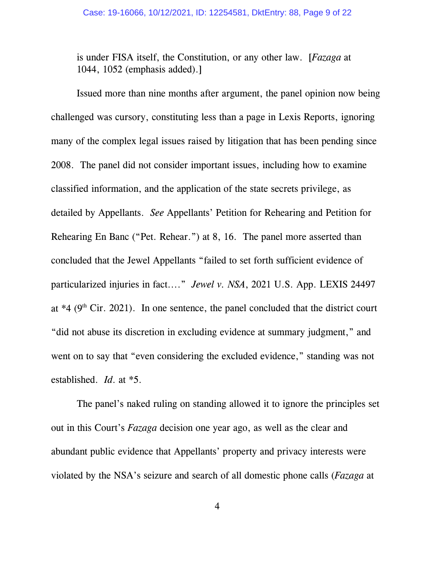is under FISA itself, the Constitution, or any other law. [*Fazaga* at 1044, 1052 (emphasis added).]

Issued more than nine months after argument, the panel opinion now being challenged was cursory, constituting less than a page in Lexis Reports, ignoring many of the complex legal issues raised by litigation that has been pending since 2008. The panel did not consider important issues, including how to examine classified information, and the application of the state secrets privilege, as detailed by Appellants. *See* Appellants' Petition for Rehearing and Petition for Rehearing En Banc ("Pet. Rehear.") at 8, 16. The panel more asserted than concluded that the Jewel Appellants "failed to set forth sufficient evidence of particularized injuries in fact...." *Jewel v. NSA*, 2021 U.S. App. LEXIS 24497 at  $*4$  (9<sup>th</sup> Cir. 2021). In one sentence, the panel concluded that the district court "did not abuse its discretion in excluding evidence at summary judgment," and went on to say that "even considering the excluded evidence," standing was not established. *Id*. at \*5.

The panel's naked ruling on standing allowed it to ignore the principles set out in this Court's *Fazaga* decision one year ago, as well as the clear and abundant public evidence that Appellants' property and privacy interests were violated by the NSA's seizure and search of all domestic phone calls (*Fazaga* at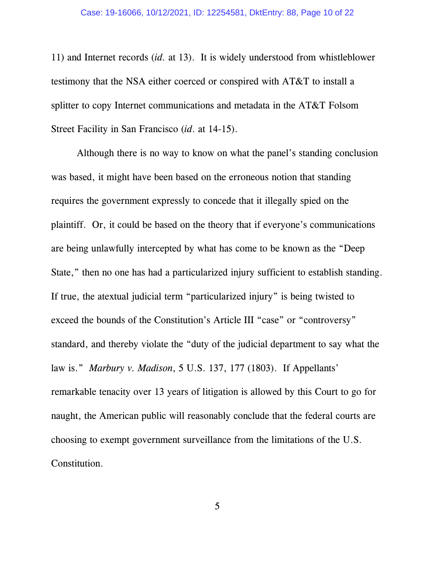11) and Internet records (*id.* at 13). It is widely understood from whistleblower testimony that the NSA either coerced or conspired with AT&T to install a splitter to copy Internet communications and metadata in the AT&T Folsom Street Facility in San Francisco (*id*. at 14-15).

Although there is no way to know on what the panel's standing conclusion was based, it might have been based on the erroneous notion that standing requires the government expressly to concede that it illegally spied on the plaintiff. Or, it could be based on the theory that if everyone's communications are being unlawfully intercepted by what has come to be known as the "Deep State," then no one has had a particularized injury sufficient to establish standing. If true, the atextual judicial term "particularized injury" is being twisted to exceed the bounds of the Constitution's Article III "case" or "controversy" standard, and thereby violate the "duty of the judicial department to say what the law is." *Marbury v. Madison*, 5 U.S. 137, 177 (1803). If Appellants' remarkable tenacity over 13 years of litigation is allowed by this Court to go for naught, the American public will reasonably conclude that the federal courts are choosing to exempt government surveillance from the limitations of the U.S. Constitution.

5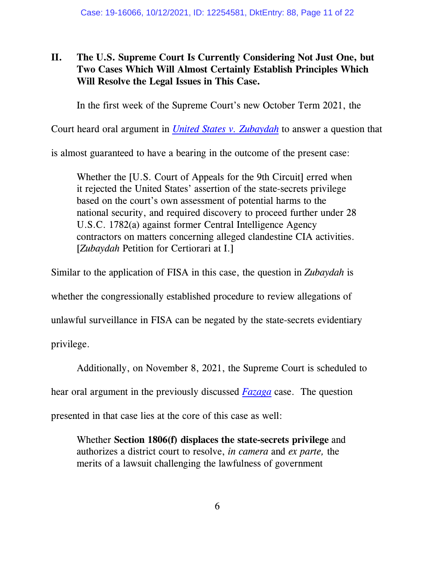# **II. The U.S. Supreme Court Is Currently Considering Not Just One, but Two Cases Which Will Almost Certainly Establish Principles Which Will Resolve the Legal Issues in This Case.**

In the first week of the Supreme Court's new October Term 2021, the

Court heard oral argument in *[United States v. Zubaydah](https://www.supremecourt.gov/docket/docketfiles/html/public/20-827.html)* to answer a question that

is almost guaranteed to have a bearing in the outcome of the present case:

Whether the [U.S. Court of Appeals for the 9th Circuit] erred when it rejected the United States' assertion of the state-secrets privilege based on the court's own assessment of potential harms to the national security, and required discovery to proceed further under 28 U.S.C. 1782(a) against former Central Intelligence Agency contractors on matters concerning alleged clandestine CIA activities. [*Zubaydah* Petition for Certiorari at I.]

Similar to the application of FISA in this case, the question in *Zubaydah* is

whether the congressionally established procedure to review allegations of

unlawful surveillance in FISA can be negated by the state-secrets evidentiary

privilege.

Additionally, on November 8, 2021, the Supreme Court is scheduled to

hear oral argument in the previously discussed *[Fazaga](https://www.supremecourt.gov/docket/docketfiles/html/public/20-828.html)* case. The question

presented in that case lies at the core of this case as well:

Whether **Section 1806(f) displaces the state-secrets privilege** and authorizes a district court to resolve, *in camera* and *ex parte,* the merits of a lawsuit challenging the lawfulness of government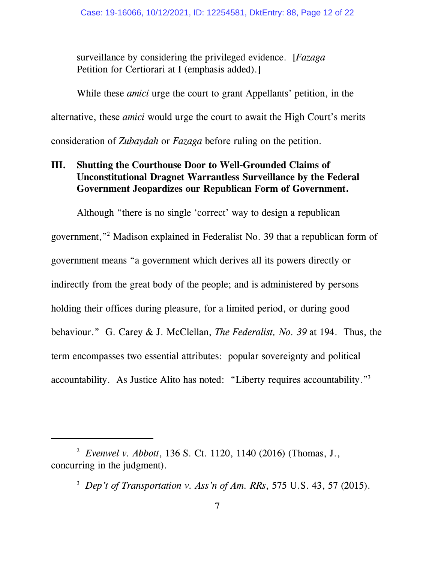surveillance by considering the privileged evidence. [*Fazaga* Petition for Certiorari at I (emphasis added).]

While these *amici* urge the court to grant Appellants' petition, in the alternative, these *amici* would urge the court to await the High Court's merits consideration of *Zubaydah* or *Fazaga* before ruling on the petition.

## **III. Shutting the Courthouse Door to Well-Grounded Claims of Unconstitutional Dragnet Warrantless Surveillance by the Federal Government Jeopardizes our Republican Form of Government.**

Although "there is no single 'correct' way to design a republican government,"<sup>2</sup> Madison explained in Federalist No. 39 that a republican form of government means "a government which derives all its powers directly or indirectly from the great body of the people; and is administered by persons holding their offices during pleasure, for a limited period, or during good behaviour." G. Carey & J. McClellan, *The Federalist, No. 39* at 194. Thus, the term encompasses two essential attributes: popular sovereignty and political accountability. As Justice Alito has noted: "Liberty requires accountability."<sup>3</sup>

<sup>2</sup> *Evenwel v. Abbott*, 136 S. Ct. 1120, 1140 (2016) (Thomas, J., concurring in the judgment).

<sup>3</sup> *Dep't of Transportation v. Ass'n of Am. RRs*, 575 U.S. 43, 57 (2015).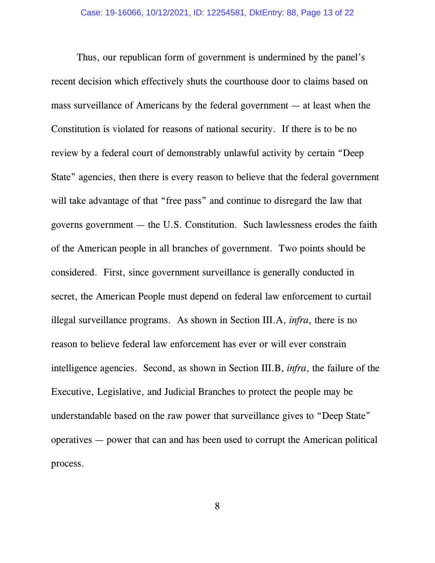Thus, our republican form of government is undermined by the panel's recent decision which effectively shuts the courthouse door to claims based on mass surveillance of Americans by the federal government — at least when the Constitution is violated for reasons of national security. If there is to be no review by a federal court of demonstrably unlawful activity by certain "Deep State" agencies, then there is every reason to believe that the federal government will take advantage of that "free pass" and continue to disregard the law that governs government — the U.S. Constitution. Such lawlessness erodes the faith of the American people in all branches of government. Two points should be considered. First, since government surveillance is generally conducted in secret, the American People must depend on federal law enforcement to curtail illegal surveillance programs. As shown in Section III.A, *infra*, there is no reason to believe federal law enforcement has ever or will ever constrain intelligence agencies. Second, as shown in Section III.B, *infra*, the failure of the Executive, Legislative, and Judicial Branches to protect the people may be understandable based on the raw power that surveillance gives to "Deep State" operatives — power that can and has been used to corrupt the American political process.

8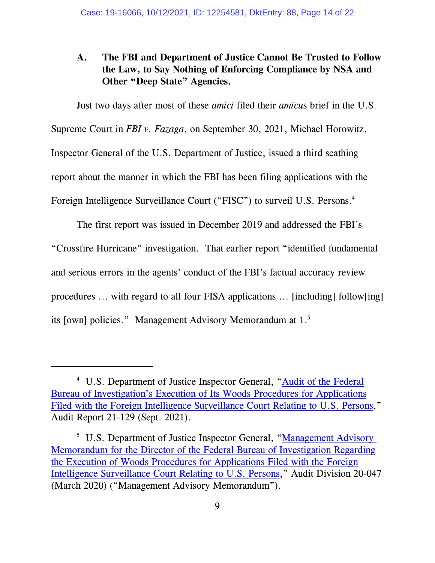### **A. The FBI and Department of Justice Cannot Be Trusted to Follow the Law, to Say Nothing of Enforcing Compliance by NSA and Other "Deep State" Agencies.**

Just two days after most of these *amici* filed their *amicu*s brief in the U.S. Supreme Court in *FBI v. Fazaga*, on September 30, 2021, Michael Horowitz, Inspector General of the U.S. Department of Justice, issued a third scathing report about the manner in which the FBI has been filing applications with the Foreign Intelligence Surveillance Court ("FISC") to surveil U.S. Persons.<sup>4</sup>

The first report was issued in December 2019 and addressed the FBI's "Crossfire Hurricane" investigation. That earlier report "identified fundamental and serious errors in the agents' conduct of the FBI's factual accuracy review procedures ... with regard to all four FISA applications ... [including] follow[ing] its [own] policies." Management Advisory Memorandum at 1.<sup>5</sup>

<sup>&</sup>lt;sup>4</sup> U.S. Department of Justice Inspector General, ["Audit of the Federal](https://oig.justice.gov/sites/default/files/reports/21-129.pdf) [Bureau of Investigation's Execution of Its Woods Procedures for Applications](https://oig.justice.gov/sites/default/files/reports/21-129.pdf) [Filed with the Foreign Intelligence Surveillance Court Relating to U.S. Persons](https://oig.justice.gov/sites/default/files/reports/21-129.pdf)," Audit Report 21-129 (Sept. 2021).

<sup>&</sup>lt;sup>5</sup> U.S. Department of Justice Inspector General, "Management Advisory [Memorandum for the Director of the Federal Bureau of Investigation Regarding](https://oig.justice.gov/sites/default/files/reports/a20047.pdf) [the Execution of Woods Procedures for Applications Filed with the Foreign](https://oig.justice.gov/sites/default/files/reports/a20047.pdf) [Intelligence Surveillance Court Relating to U.S. Persons](https://oig.justice.gov/sites/default/files/reports/a20047.pdf)," Audit Division 20-047 (March 2020) ("Management Advisory Memorandum").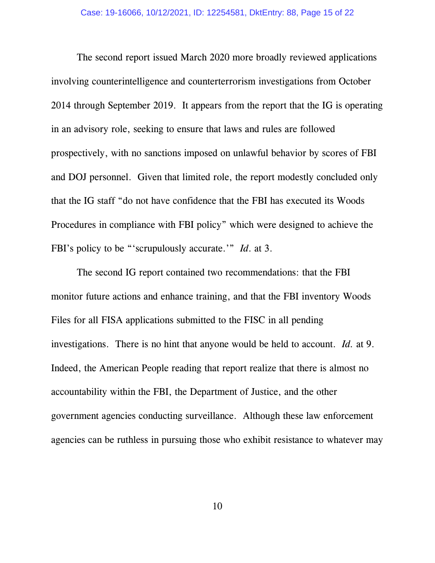The second report issued March 2020 more broadly reviewed applications involving counterintelligence and counterterrorism investigations from October 2014 through September 2019. It appears from the report that the IG is operating in an advisory role, seeking to ensure that laws and rules are followed prospectively, with no sanctions imposed on unlawful behavior by scores of FBI and DOJ personnel. Given that limited role, the report modestly concluded only that the IG staff "do not have confidence that the FBI has executed its Woods Procedures in compliance with FBI policy" which were designed to achieve the FBI's policy to be "'scrupulously accurate.'" *Id*. at 3.

The second IG report contained two recommendations: that the FBI monitor future actions and enhance training, and that the FBI inventory Woods Files for all FISA applications submitted to the FISC in all pending investigations. There is no hint that anyone would be held to account. *Id.* at 9. Indeed, the American People reading that report realize that there is almost no accountability within the FBI, the Department of Justice, and the other government agencies conducting surveillance. Although these law enforcement agencies can be ruthless in pursuing those who exhibit resistance to whatever may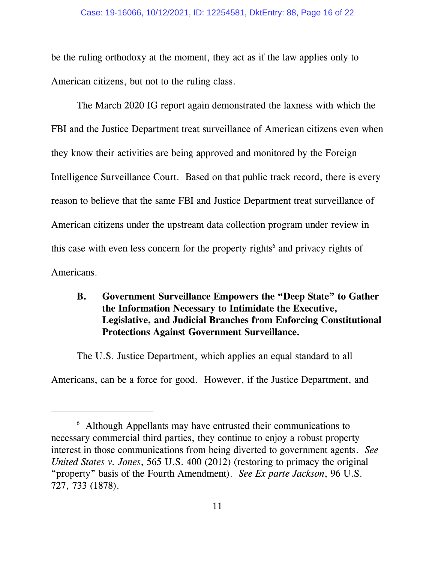be the ruling orthodoxy at the moment, they act as if the law applies only to American citizens, but not to the ruling class.

The March 2020 IG report again demonstrated the laxness with which the FBI and the Justice Department treat surveillance of American citizens even when they know their activities are being approved and monitored by the Foreign Intelligence Surveillance Court. Based on that public track record, there is every reason to believe that the same FBI and Justice Department treat surveillance of American citizens under the upstream data collection program under review in this case with even less concern for the property rights<sup>6</sup> and privacy rights of Americans.

### **B. Government Surveillance Empowers the "Deep State" to Gather the Information Necessary to Intimidate the Executive, Legislative, and Judicial Branches from Enforcing Constitutional Protections Against Government Surveillance.**

The U.S. Justice Department, which applies an equal standard to all Americans, can be a force for good. However, if the Justice Department, and

<sup>6</sup> Although Appellants may have entrusted their communications to necessary commercial third parties, they continue to enjoy a robust property interest in those communications from being diverted to government agents. *See United States v. Jones*, 565 U.S. 400 (2012) (restoring to primacy the original "property" basis of the Fourth Amendment). *See Ex parte Jackson*, 96 U.S. 727, 733 (1878).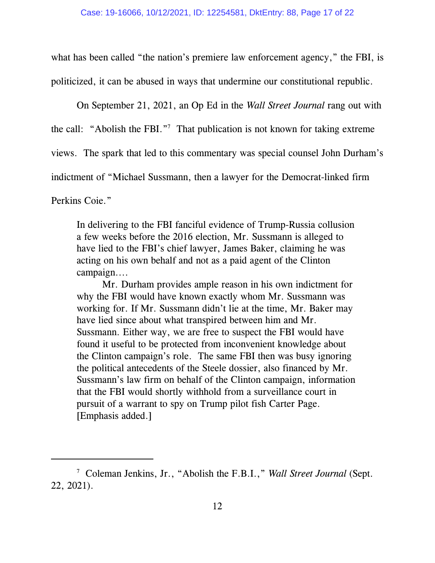what has been called "the nation's premiere law enforcement agency," the FBI, is politicized, it can be abused in ways that undermine our constitutional republic.

On September 21, 2021, an Op Ed in the *Wall Street Journal* rang out with the call: "Abolish the FBI."<sup>7</sup> That publication is not known for taking extreme views. The spark that led to this commentary was special counsel John Durham's indictment of "Michael Sussmann, then a lawyer for the Democrat-linked firm

Perkins Coie."

In delivering to the FBI fanciful evidence of Trump-Russia collusion a few weeks before the 2016 election, Mr. Sussmann is alleged to have lied to the FBI's chief lawyer, James Baker, claiming he was acting on his own behalf and not as a paid agent of the Clinton campaign....

Mr. Durham provides ample reason in his own indictment for why the FBI would have known exactly whom Mr. Sussmann was working for. If Mr. Sussmann didn't lie at the time, Mr. Baker may have lied since about what transpired between him and Mr. Sussmann. Either way, we are free to suspect the FBI would have found it useful to be protected from inconvenient knowledge about the Clinton campaign's role. The same FBI then was busy ignoring the political antecedents of the Steele dossier, also financed by Mr. Sussmann's law firm on behalf of the Clinton campaign, information that the FBI would shortly withhold from a surveillance court in pursuit of a warrant to spy on Trump pilot fish Carter Page. [Emphasis added.]

<sup>7</sup> Coleman Jenkins, Jr., "Abolish the F.B.I.," *Wall Street Journal* (Sept. 22, 2021).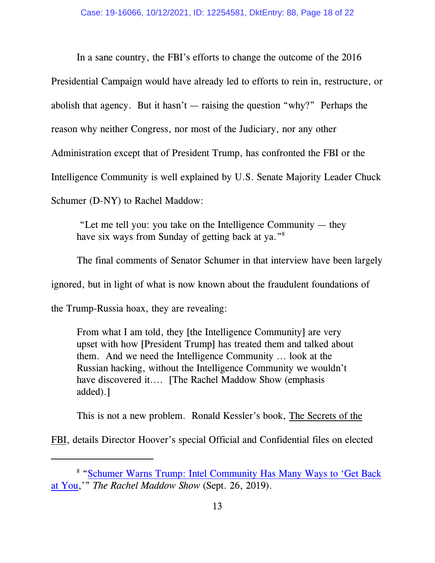In a sane country, the FBI's efforts to change the outcome of the 2016

Presidential Campaign would have already led to efforts to rein in, restructure, or abolish that agency. But it hasn't  $-$  raising the question "why?" Perhaps the reason why neither Congress, nor most of the Judiciary, nor any other Administration except that of President Trump, has confronted the FBI or the Intelligence Community is well explained by U.S. Senate Majority Leader Chuck Schumer (D-NY) to Rachel Maddow:

 "Let me tell you: you take on the Intelligence Community — they have six ways from Sunday of getting back at ya."<sup>8</sup>

The final comments of Senator Schumer in that interview have been largely ignored, but in light of what is now known about the fraudulent foundations of the Trump-Russia hoax, they are revealing:

From what I am told, they [the Intelligence Community] are very upset with how [President Trump] has treated them and talked about them. And we need the Intelligence Community ... look at the Russian hacking, without the Intelligence Community we wouldn't have discovered it.... [The Rachel Maddow Show (emphasis added).]

This is not a new problem. Ronald Kessler's book, The Secrets of the

FBI, details Director Hoover's special Official and Confidential files on elected

<sup>&</sup>lt;sup>8</sup> ["Schumer Warns Trump: Intel Community Has Many Ways to 'Get Back](https://www.youtube.com/watch?v=6OYyXv2l4-I) [at You](https://www.youtube.com/watch?v=6OYyXv2l4-I),'" *The Rachel Maddow Show* (Sept. 26, 2019).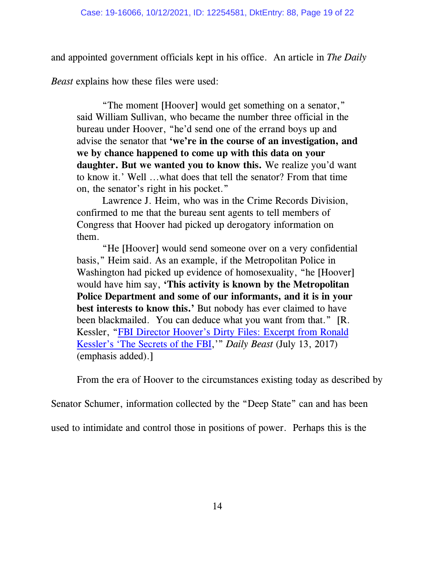and appointed government officials kept in his office. An article in *The Daily*

*Beast* explains how these files were used:

"The moment [Hoover] would get something on a senator," said William Sullivan, who became the number three official in the bureau under Hoover, "he'd send one of the errand boys up and advise the senator that **'we're in the course of an investigation, and we by chance happened to come up with this data on your daughter. But we wanted you to know this.** We realize you'd want to know it.' Well ...what does that tell the senator? From that time on, the senator's right in his pocket."

Lawrence J. Heim, who was in the Crime Records Division, confirmed to me that the bureau sent agents to tell members of Congress that Hoover had picked up derogatory information on them.

"He [Hoover] would send someone over on a very confidential basis," Heim said. As an example, if the Metropolitan Police in Washington had picked up evidence of homosexuality, "he [Hoover] would have him say, **'This activity is known by the Metropolitan Police Department and some of our informants, and it is in your best interests to know this.'** But nobody has ever claimed to have been blackmailed. You can deduce what you want from that." [R. Kessler, ["FBI Director Hoover's Dirty Files: Excerpt from Ronald](https://www.thedailybeast.com/fbi-director-hoovers-dirty-files-excerpt-from-ronald-kesslers-the-secrets-of-the-fbi) [Kessler's 'The Secrets of the FBI](https://www.thedailybeast.com/fbi-director-hoovers-dirty-files-excerpt-from-ronald-kesslers-the-secrets-of-the-fbi),'" *Daily Beast* (July 13, 2017) (emphasis added).]

From the era of Hoover to the circumstances existing today as described by

Senator Schumer, information collected by the "Deep State" can and has been

used to intimidate and control those in positions of power. Perhaps this is the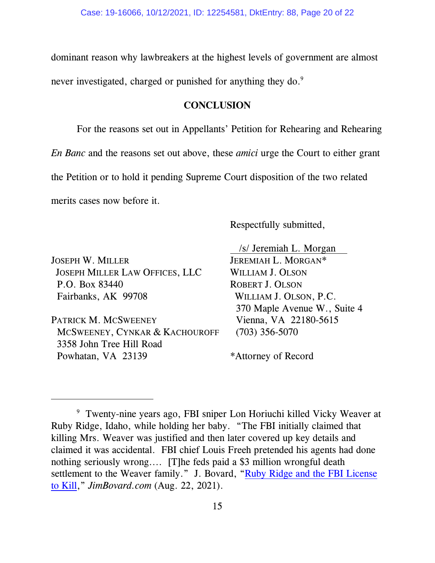dominant reason why lawbreakers at the highest levels of government are almost never investigated, charged or punished for anything they do.<sup>9</sup>

#### **CONCLUSION**

For the reasons set out in Appellants' Petition for Rehearing and Rehearing *En Banc* and the reasons set out above, these *amici* urge the Court to either grant the Petition or to hold it pending Supreme Court disposition of the two related merits cases now before it.

Respectfully submitted,

JOSEPH W. MILLER JEREMIAH L. MORGAN\* JOSEPH MILLER LAW OFFICES, LLC WILLIAM J. OLSON P.O. Box 83440 ROBERT J. OLSON Fairbanks, AK 99708 WILLIAM J. OLSON, P.C.

PATRICK M. MCSWEENEY Vienna, VA 22180-5615 MCSWEENEY, CYNKAR & KACHOUROFF (703) 356-5070 3358 John Tree Hill Road Powhatan, VA 23139 \*Attorney of Record

/s/ Jeremiah L. Morgan

370 Maple Avenue W., Suite 4

<sup>9</sup> Twenty-nine years ago, FBI sniper Lon Horiuchi killed Vicky Weaver at Ruby Ridge, Idaho, while holding her baby. "The FBI initially claimed that killing Mrs. Weaver was justified and then later covered up key details and claimed it was accidental. FBI chief Louis Freeh pretended his agents had done nothing seriously wrong.... [T]he feds paid a \$3 million wrongful death settlement to the Weaver family." J. Bovard, ["Ruby Ridge and the FBI License](https://jimbovard.com/blog/2021/08/22/ruby-ridge-and-the-fbi-license-to-kill/) [to Kill](https://jimbovard.com/blog/2021/08/22/ruby-ridge-and-the-fbi-license-to-kill/)," *JimBovard.com* (Aug. 22, 2021).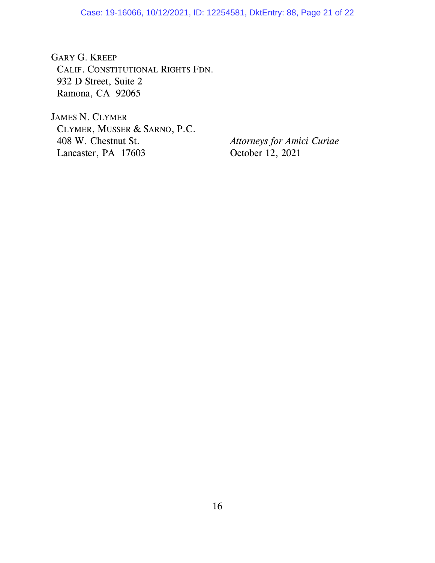GARY G. KREEP CALIF. CONSTITUTIONAL RIGHTS FDN. 932 D Street, Suite 2 Ramona, CA 92065

JAMES N. CLYMER CLYMER, MUSSER & SARNO, P.C. 408 W. Chestnut St. *Attorneys for Amici Curiae* Lancaster, PA 17603